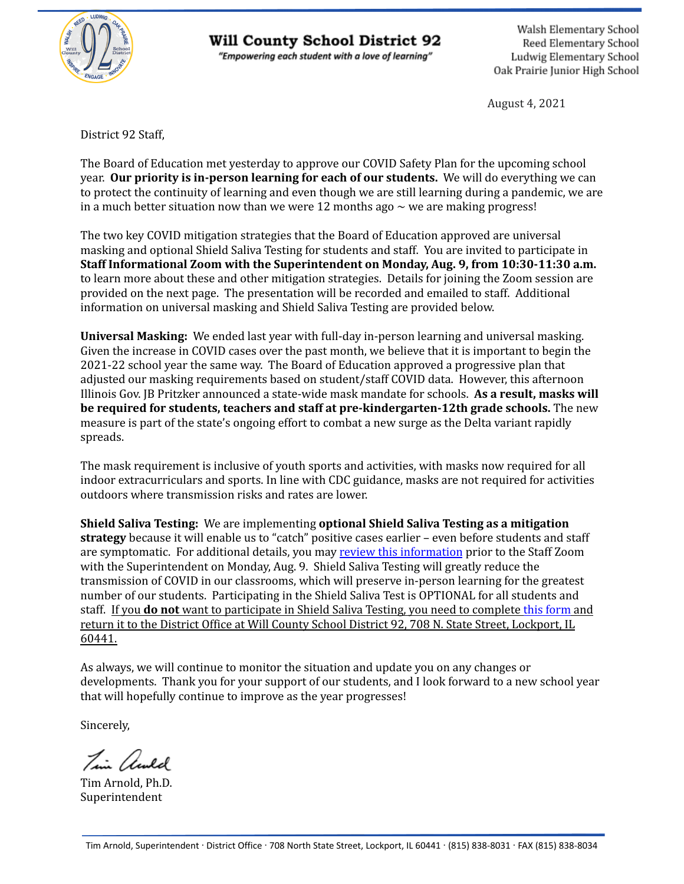

#### Will County School District 92

"Empowering each student with a love of learning"

Walsh Elementary School Reed Elementary School Ludwig Elementary School Oak Prairie Junior High School

August 4, 2021

District 92 Staff,

The Board of Education met yesterday to approve our COVID Safety Plan for the upcoming school year. **Our priority is in-person learning for each of our students.** We will do everything we can to protect the continuity of learning and even though we are still learning during a pandemic, we are in a much better situation now than we were 12 months ago  $\sim$  we are making progress!

The two key COVID mitigation strategies that the Board of Education approved are universal masking and optional Shield Saliva Testing for students and staff. You are invited to participate in **Staff Informational Zoom with the Superintendent on Monday, Aug. 9, from 10:30-11:30 a.m.** to learn more about these and other mitigation strategies. Details for joining the Zoom session are provided on the next page. The presentation will be recorded and emailed to staff. Additional information on universal masking and Shield Saliva Testing are provided below.

**Universal Masking:** We ended last year with full-day in-person learning and universal masking. Given the increase in COVID cases over the past month, we believe that it is important to begin the 2021-22 school year the same way. The Board of Education approved a progressive plan that adjusted our masking requirements based on student/staff COVID data. However, this afternoon Illinois Gov. JB Pritzker announced a state-wide mask mandate for schools. **As a result, masks will be required for students, teachers and staff at pre-kindergarten-12th grade schools.** The new measure is part of the state's ongoing effort to combat a new surge as the Delta variant rapidly spreads.

The mask requirement is inclusive of youth sports and activities, with masks now required for all indoor extracurriculars and sports. In line with CDC guidance, masks are not required for activities outdoors where transmission risks and rates are lower.

**Shield Saliva Testing:** We are implementing **optional Shield Saliva Testing as a mitigation strategy** because it will enable us to "catch" positive cases earlier – even before students and staff are symptomatic. For additional details, you may review this [information](https://drive.google.com/file/d/1pLCO6O__A0Qz93XSbexMEtmKvCus4o8I/view?usp=sharing) prior to the Staff Zoom with the Superintendent on Monday, Aug. 9. Shield Saliva Testing will greatly reduce the transmission of COVID in our classrooms, which will preserve in-person learning for the greatest number of our students. Participating in the Shield Saliva Test is OPTIONAL for all students and staff. If you **do not** want to participate in Shield Saliva Testing, you need to complete this [form](https://drive.google.com/file/d/1_VMxNwIFkaf8Y2Wcw7K2ua-vh9C8Gr2H/view?usp=sharing) and return it to the District Office at Will County School District 92, 708 N. State Street, Lockport, IL 60441.

As always, we will continue to monitor the situation and update you on any changes or developments. Thank you for your support of our students, and I look forward to a new school year that will hopefully continue to improve as the year progresses!

Sincerely,

Tim awld

Tim Arnold, Ph.D. Superintendent